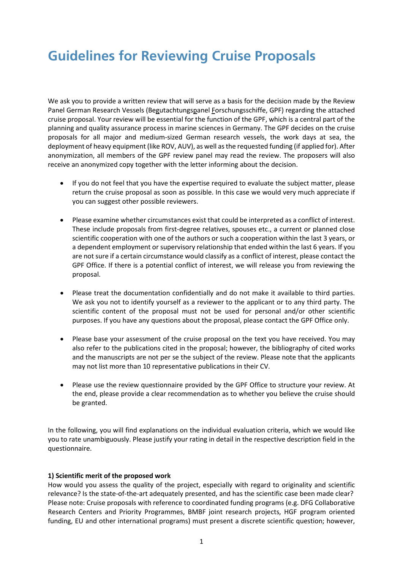# **Guidelines for Reviewing Cruise Proposals**

We ask you to provide a written review that will serve as a basis for the decision made by the Review Panel German Research Vessels (Begutachtungspanel Forschungsschiffe, GPF) regarding the attached cruise proposal. Your review will be essential for the function of the GPF, which is a central part of the planning and quality assurance process in marine sciences in Germany. The GPF decides on the cruise proposals for all major and medium-sized German research vessels, the work days at sea, the deployment of heavy equipment (like ROV, AUV), as well as the requested funding (if applied for). After anonymization, all members of the GPF review panel may read the review. The proposers will also receive an anonymized copy together with the letter informing about the decision.

- If you do not feel that you have the expertise required to evaluate the subject matter, please return the cruise proposal as soon as possible. In this case we would very much appreciate if you can suggest other possible reviewers.
- Please examine whether circumstances exist that could be interpreted as a conflict of interest. These include proposals from first-degree relatives, spouses etc., a current or planned close scientific cooperation with one of the authors or such a cooperation within the last 3 years, or a dependent employment or supervisory relationship that ended within the last 6 years. If you are not sure if a certain circumstance would classify as a conflict of interest, please contact the GPF Office. If there is a potential conflict of interest, we will release you from reviewing the proposal.
- Please treat the documentation confidentially and do not make it available to third parties. We ask you not to identify yourself as a reviewer to the applicant or to any third party. The scientific content of the proposal must not be used for personal and/or other scientific purposes. If you have any questions about the proposal, please contact the GPF Office only.
- Please base your assessment of the cruise proposal on the text you have received. You may also refer to the publications cited in the proposal; however, the bibliography of cited works and the manuscripts are not per se the subject of the review. Please note that the applicants may not list more than 10 representative publications in their CV.
- Please use the review questionnaire provided by the GPF Office to structure your review. At the end, please provide a clear recommendation as to whether you believe the cruise should be granted.

In the following, you will find explanations on the individual evaluation criteria, which we would like you to rate unambiguously. Please justify your rating in detail in the respective description field in the questionnaire.

### **1) Scientific merit of the proposed work**

How would you assess the quality of the project, especially with regard to originality and scientific relevance? Is the state-of-the-art adequately presented, and has the scientific case been made clear? Please note: Cruise proposals with reference to coordinated funding programs (e.g. DFG Collaborative Research Centers and Priority Programmes, BMBF joint research projects, HGF program oriented funding, EU and other international programs) must present a discrete scientific question; however,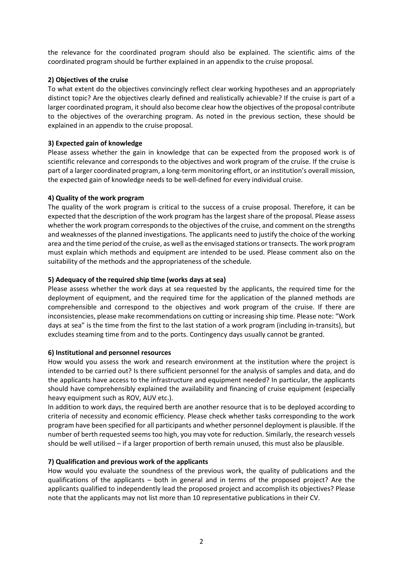the relevance for the coordinated program should also be explained. The scientific aims of the coordinated program should be further explained in an appendix to the cruise proposal.

# **2) Objectives of the cruise**

To what extent do the objectives convincingly reflect clear working hypotheses and an appropriately distinct topic? Are the objectives clearly defined and realistically achievable? If the cruise is part of a larger coordinated program, it should also become clear how the objectives of the proposal contribute to the objectives of the overarching program. As noted in the previous section, these should be explained in an appendix to the cruise proposal.

# **3) Expected gain of knowledge**

Please assess whether the gain in knowledge that can be expected from the proposed work is of scientific relevance and corresponds to the objectives and work program of the cruise. If the cruise is part of a larger coordinated program, a long-term monitoring effort, or an institution's overall mission, the expected gain of knowledge needs to be well-defined for every individual cruise.

# **4) Quality of the work program**

The quality of the work program is critical to the success of a cruise proposal. Therefore, it can be expected that the description of the work program has the largest share of the proposal. Please assess whether the work program corresponds to the objectives of the cruise, and comment on the strengths and weaknesses of the planned investigations. The applicants need to justify the choice of the working area and the time period of the cruise, as well as the envisaged stations or transects. The work program must explain which methods and equipment are intended to be used. Please comment also on the suitability of the methods and the appropriateness of the schedule.

# **5) Adequacy of the required ship time (works days at sea)**

Please assess whether the work days at sea requested by the applicants, the required time for the deployment of equipment, and the required time for the application of the planned methods are comprehensible and correspond to the objectives and work program of the cruise. If there are inconsistencies, please make recommendations on cutting or increasing ship time. Please note: "Work days at sea" is the time from the first to the last station of a work program (including in-transits), but excludes steaming time from and to the ports. Contingency days usually cannot be granted.

# **6) Institutional and personnel resources**

How would you assess the work and research environment at the institution where the project is intended to be carried out? Is there sufficient personnel for the analysis of samples and data, and do the applicants have access to the infrastructure and equipment needed? In particular, the applicants should have comprehensibly explained the availability and financing of cruise equipment (especially heavy equipment such as ROV, AUV etc.).

In addition to work days, the required berth are another resource that is to be deployed according to criteria of necessity and economic efficiency. Please check whether tasks corresponding to the work program have been specified for all participants and whether personnel deployment is plausible. If the number of berth requested seems too high, you may vote for reduction. Similarly, the research vessels should be well utilised – if a larger proportion of berth remain unused, this must also be plausible.

# **7) Qualification and previous work of the applicants**

How would you evaluate the soundness of the previous work, the quality of publications and the qualifications of the applicants – both in general and in terms of the proposed project? Are the applicants qualified to independently lead the proposed project and accomplish its objectives? Please note that the applicants may not list more than 10 representative publications in their CV.